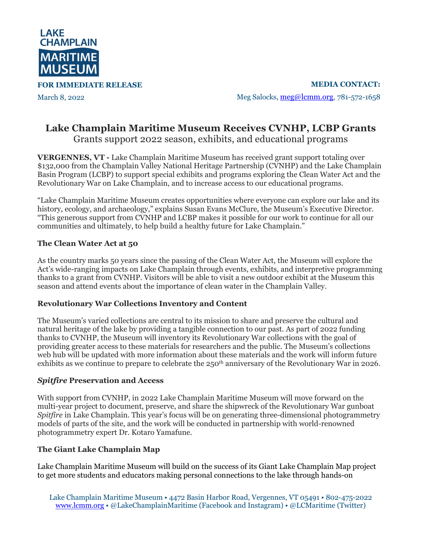

**FOR IMMEDIATE RELEASE**

March 8, 2022

**MEDIA CONTACT:** Meg Salocks, meg@lcmm.org, 781-572-1658

# **Lake Champlain Maritime Museum Receives CVNHP, LCBP Grants** Grants support 2022 season, exhibits, and educational programs

**VERGENNES, VT -** Lake Champlain Maritime Museum has received grant support totaling over \$132,000 from the Champlain Valley National Heritage Partnership (CVNHP) and the Lake Champlain Basin Program (LCBP) to support special exhibits and programs exploring the Clean Water Act and the Revolutionary War on Lake Champlain, and to increase access to our educational programs.

"Lake Champlain Maritime Museum creates opportunities where everyone can explore our lake and its history, ecology, and archaeology," explains Susan Evans McClure, the Museum's Executive Director. "This generous support from CVNHP and LCBP makes it possible for our work to continue for all our communities and ultimately, to help build a healthy future for Lake Champlain."

### **The Clean Water Act at 50**

As the country marks 50 years since the passing of the Clean Water Act, the Museum will explore the Act's wide-ranging impacts on Lake Champlain through events, exhibits, and interpretive programming thanks to a grant from CVNHP. Visitors will be able to visit a new outdoor exhibit at the Museum this season and attend events about the importance of clean water in the Champlain Valley.

#### **Revolutionary War Collections Inventory and Content**

The Museum's varied collections are central to its mission to share and preserve the cultural and natural heritage of the lake by providing a tangible connection to our past. As part of 2022 funding thanks to CVNHP, the Museum will inventory its Revolutionary War collections with the goal of providing greater access to these materials for researchers and the public. The Museum's collections web hub will be updated with more information about these materials and the work will inform future exhibits as we continue to prepare to celebrate the 250<sup>th</sup> anniversary of the Revolutionary War in 2026.

#### *Spitfire* **Preservation and Access**

With support from CVNHP, in 2022 Lake Champlain Maritime Museum will move forward on the multi-year project to document, preserve, and share the shipwreck of the Revolutionary War gunboat *Spitfire* in Lake Champlain. This year's focus will be on generating three-dimensional photogrammetry models of parts of the site, and the work will be conducted in partnership with world-renowned photogrammetry expert Dr. Kotaro Yamafune.

## **The Giant Lake Champlain Map**

Lake Champlain Maritime Museum will build on the success of its Giant Lake Champlain Map project to get more students and educators making personal connections to the lake through hands-on